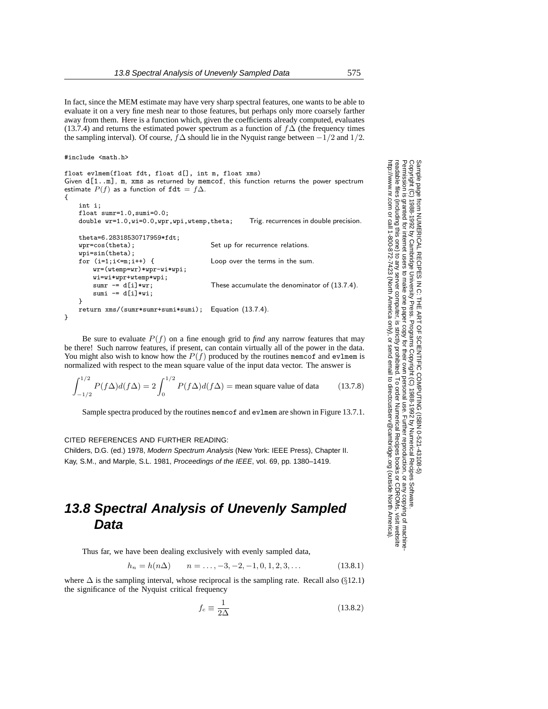In fact, since the MEM estimate may have very sharp spectral features, one wants to be able to evaluate it on a very fine mesh near to those features, but perhaps only more coarsely farther away from them. Here is a function which, given the coefficients already computed, evaluates (13.7.4) and returns the estimated power spectrum as a function of  $f\Delta$  (the frequency times the sampling interval). Of course,  $\bar{f}\Delta$  should lie in the Nyquist range between  $-\bar{1}/2$  and  $1/2$ .

#include <math.h>

```
float evlmem(float fdt, float d[], int m, float xms)
Given d[1..m], m, xms as returned by memcof, this function returns the power spectrum
estimate P(f) as a function of f dt = f \Delta.
{
    int i;
   float sumr=1.0,sumi=0.0;
   double wr=1.0, wi=0.0, wpr, wpi, wtemp, theta; Trig. recurrences in double precision.
   theta=6.28318530717959*fdt;
    wpr=cos(theta); Set up for recurrence relations.
   wpi=sin(theta);
    for (i=1;i<=m;i++) { Loop over the terms in the sum.
        wr=(wtemp=wr)*wpr-wi*wpi;
       wi=wi*wp+wtemp*wpi;<br>sum = d[i]*wr;These accumulate the denominator of (13.7.4).
        sumi - d[i] *wi;
   }
    return xms/(sumr*sumr+sumi*sumi); Equation (13.7.4).
}
```
Be sure to evaluate  $P(f)$  on a fine enough grid to *find* any narrow features that may be there! Such narrow features, if present, can contain virtually all of the power in the data. You might also wish to know how the  $P(f)$  produced by the routines memcof and evlmem is normalized with respect to the mean square value of the input data vector. The answer is

$$
\int_{-1/2}^{1/2} P(f\Delta)d(f\Delta) = 2\int_0^{1/2} P(f\Delta)d(f\Delta) = \text{mean square value of data} \tag{13.7.8}
$$

Sample spectra produced by the routines memcof and evlmem are shown in Figure 13.7.1.

#### CITED REFERENCES AND FURTHER READING:

Childers, D.G. (ed.) 1978, Modern Spectrum Analysis (New York: IEEE Press), Chapter II. Kay, S.M., and Marple, S.L. 1981, Proceedings of the IEEE, vol. 69, pp. 1380–1419.

# **13.8 Spectral Analysis of Unevenly Sampled Data**

Thus far, we have been dealing exclusively with evenly sampled data,

$$
h_n = h(n\Delta) \qquad n = \dots, -3, -2, -1, 0, 1, 2, 3, \dots \tag{13.8.1}
$$

where  $\Delta$  is the sampling interval, whose reciprocal is the sampling rate. Recall also (§12.1) the significance of the Nyquist critical frequency

$$
f_c \equiv \frac{1}{2\Delta} \tag{13.8.2}
$$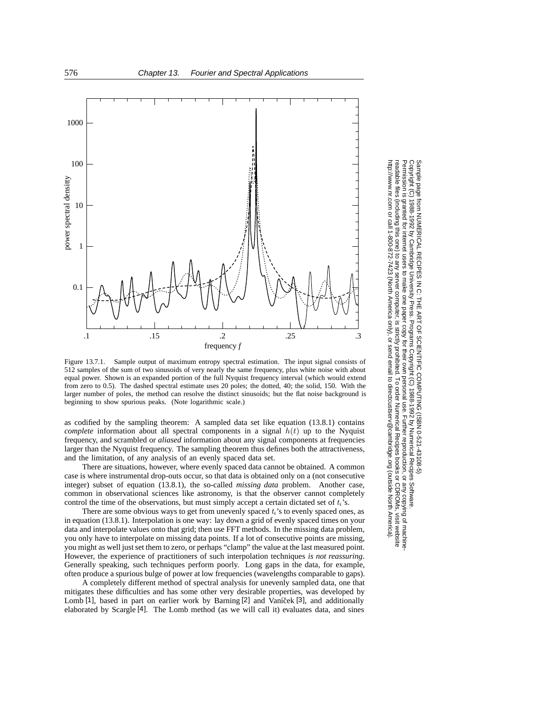

Figure 13.7.1. Sample output of maximum entropy spectral estimation. The input signal consists of 512 samples of the sum of two sinusoids of very nearly the same frequency, plus white noise with about equal power. Shown is an expanded portion of the full Nyquist frequency interval (which would extend from zero to 0.5). The dashed spectral estimate uses 20 poles; the dotted, 40; the solid, 150. With the larger number of poles, the method can resolve the distinct sinusoids; but the flat noise background is beginning to show spurious peaks. (Note logarithmic scale.)

as codified by the sampling theorem: A sampled data set like equation (13.8.1) contains *complete* information about all spectral components in a signal  $h(t)$  up to the Nyquist frequency, and scrambled or *aliased* information about any signal components at frequencies larger than the Nyquist frequency. The sampling theorem thus defines both the attractiveness, and the limitation, of any analysis of an evenly spaced data set.

There are situations, however, where evenly spaced data cannot be obtained. A common case is where instrumental drop-outs occur, so that data is obtained only on a (not consecutive integer) subset of equation (13.8.1), the so-called *missing data* problem. Another case, common in observational sciences like astronomy, is that the observer cannot completely control the time of the observations, but must simply accept a certain dictated set of  $t_i$ 's.

There are some obvious ways to get from unevenly spaced  $t_i$ 's to evenly spaced ones, as in equation (13.8.1). Interpolation is one way: lay down a grid of evenly spaced times on your data and interpolate values onto that grid; then use FFT methods. In the missing data problem, you only have to interpolate on missing data points. If a lot of consecutive points are missing, you might as well just set them to zero, or perhaps "clamp" the value at the last measured point. However, the experience of practitioners of such interpolation techniques *is not reassuring*. Generally speaking, such techniques perform poorly. Long gaps in the data, for example, often produce a spurious bulge of power at low frequencies (wavelengths comparable to gaps).

A completely different method of spectral analysis for unevenly sampled data, one that mitigates these difficulties and has some other very desirable properties, was developed by Lomb [1], based in part on earlier work by Barning [2] and Vaníček [3], and additionally elaborated by Scargle [4]. The Lomb method (as we will call it) evaluates data, and sines

Copyright (C) 1988-1992 by Cambridge University Press.Sample page from NUMERICAL RECIPES IN C: THE ART OF SCIENTIFIC COMPUTING (ISBN 0-521-43108-5) ntp://www.nr.com or call 1-800-872-7423 (North America only), or send email to directcustserv@cambridge.org (outside North America) http://www.nr.com or call 1-800-872-7423 (North America only),readable files (including this one) to any serverPermission is granted for internet users to make one paper copy for their own personal use. Further reproduction, or any copyin Copyright Bample page from NUMERICAL RECIPES IN C: THE ART OF SCIENTIFIC COMPUTING (1SBN 0-521-43108-6) جَ 1988-1992 by Cambridge University Press. Programs Copyright (C) 1988-1992 by Numerical Recipes Software computer, is strictly prohibited. To order Numerical Recipes booksPrograms Copyright (C) 1988-1992 by Numerical Recipes Software. or send email to directcustserv@cambridge.org (outside North America). or CDROMs, visit website g of machine-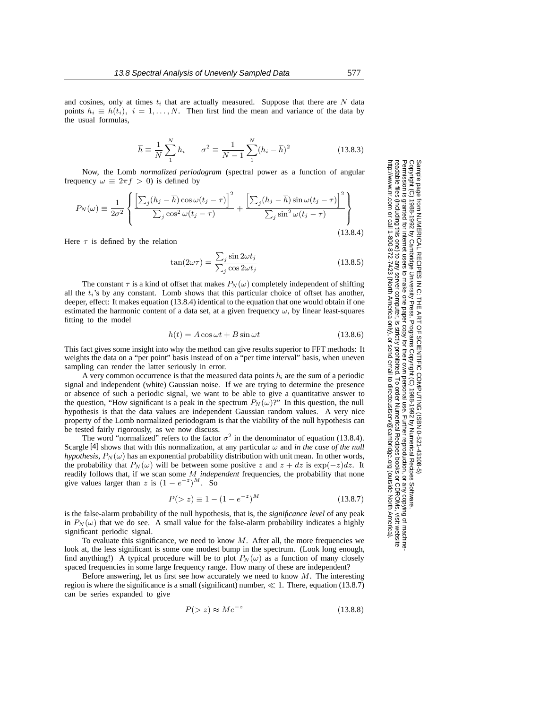$$
\overline{h} \equiv \frac{1}{N} \sum_{1}^{N} h_i \qquad \sigma^2 \equiv \frac{1}{N-1} \sum_{1}^{N} (h_i - \overline{h})^2
$$
 (13.8.3)

Now, the Lomb *normalized periodogram* (spectral power as a function of angular frequency  $\omega \equiv 2\pi f > 0$ ) is defined by

$$
P_N(\omega) \equiv \frac{1}{2\sigma^2} \left\{ \frac{\left[\sum_j (h_j - \overline{h}) \cos \omega(t_j - \tau)\right]^2}{\sum_j \cos^2 \omega(t_j - \tau)} + \frac{\left[\sum_j (h_j - \overline{h}) \sin \omega(t_j - \tau)\right]^2}{\sum_j \sin^2 \omega(t_j - \tau)} \right\}
$$
\n  
\nwe  $\tau$  is defined by the relation (13.8.4)

Here  $\tau$  is defined by the relation

$$
\tan(2\omega\tau) = \frac{\sum_{j} \sin 2\omega t_j}{\sum_{j} \cos 2\omega t_j}
$$
 (13.8.5)

The constant  $\tau$  is a kind of offset that makes  $P_N(\omega)$  completely independent of shifting all the  $t_i$ 's by any constant. Lomb shows that this particular choice of offset has another, deeper, effect: It makes equation (13.8.4) identical to the equation that one would obtain if one estimated the harmonic content of a data set, at a given frequency  $\omega$ , by linear least-squares fitting to the model

$$
h(t) = A\cos\omega t + B\sin\omega t \tag{13.8.6}
$$

This fact gives some insight into why the method can give results superior to FFT methods: It weights the data on a "per point" basis instead of on a "per time interval" basis, when uneven sampling can render the latter seriously in error.

A very common occurrence is that the measured data points  $h_i$  are the sum of a periodic signal and independent (white) Gaussian noise. If we are trying to determine the presence or absence of such a periodic signal, we want to be able to give a quantitative answer to the question, "How significant is a peak in the spectrum  $P_N(\omega)$ ?" In this question, the null hypothesis is that the data values are independent Gaussian random values. A very nice property of the Lomb normalized periodogram is that the viability of the null hypothesis can be tested fairly rigorously, as we now discuss.

The word "normalized" refers to the factor  $\sigma^2$  in the denominator of equation (13.8.4). Scargle [4] shows that with this normalization, at any particular  $\omega$  and *in the case of the null hypothesis*,  $P_N(\omega)$  has an exponential probability distribution with unit mean. In other words, the probability that  $P_N(\omega)$  will be between some positive z and  $z + dz$  is  $\exp(-z)dz$ . It readily follows that, if we scan some M *independent* frequencies, the probability that none give values larger than z is  $(1 - e^{-z})^M$ . So

$$
P(>z) \equiv 1 - (1 - e^{-z})^M \tag{13.8.7}
$$

is the false-alarm probability of the null hypothesis, that is, the *significance level* of any peak in  $P_N(\omega)$  that we do see. A small value for the false-alarm probability indicates a highly significant periodic signal.

To evaluate this significance, we need to know  $M$ . After all, the more frequencies we look at, the less significant is some one modest bump in the spectrum. (Look long enough, find anything!) A typical procedure will be to plot  $P_N(\omega)$  as a function of many closely spaced frequencies in some large frequency range. How many of these are independent?

Before answering, let us first see how accurately we need to know  $M$ . The interesting region is where the significance is a small (significant) number,  $\ll 1$ . There, equation (13.8.7) can be series expanded to give

$$
P(>z) \approx Me^{-z} \tag{13.8.8}
$$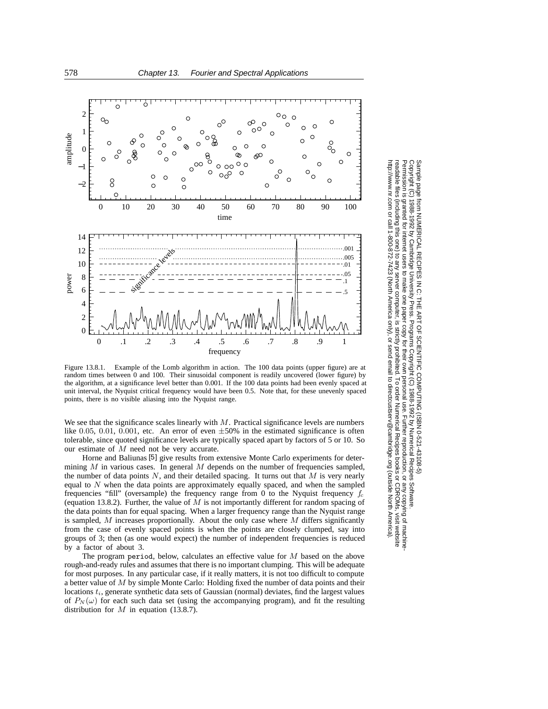

Figure 13.8.1. Example of the Lomb algorithm in action. The 100 data points (upper figure) are at random times between 0 and 100. Their sinusoidal component is readily uncovered (lower figure) by the algorithm, at a significance level better than 0.001. If the 100 data points had been evenly spaced at unit interval, the Nyquist critical frequency would have been 0.5. Note that, for these unevenly spaced points, there is no visible aliasing into the Nyquist range.

We see that the significance scales linearly with  $M$ . Practical significance levels are numbers like 0.05, 0.01, 0.001, etc. An error of even  $\pm 50\%$  in the estimated significance is often tolerable, since quoted significance levels are typically spaced apart by factors of 5 or 10. So our estimate of M need not be very accurate.

Horne and Baliunas [5] give results from extensive Monte Carlo experiments for determining  $M$  in various cases. In general  $M$  depends on the number of frequencies sampled, the number of data points  $N$ , and their detailed spacing. It turns out that  $M$  is very nearly equal to  $N$  when the data points are approximately equally spaced, and when the sampled frequencies "fill" (oversample) the frequency range from 0 to the Nyquist frequency  $f_c$ (equation 13.8.2). Further, the value of  $M$  is not importantly different for random spacing of the data points than for equal spacing. When a larger frequency range than the Nyquist range is sampled,  $M$  increases proportionally. About the only case where  $M$  differs significantly from the case of evenly spaced points is when the points are closely clumped, say into groups of 3; then (as one would expect) the number of independent frequencies is reduced by a factor of about 3.

The program period, below, calculates an effective value for  $M$  based on the above rough-and-ready rules and assumes that there is no important clumping. This will be adequate for most purposes. In any particular case, if it really matters, it is not too difficult to compute a better value of M by simple Monte Carlo: Holding fixed the number of data points and their locations  $t_i$ , generate synthetic data sets of Gaussian (normal) deviates, find the largest values of  $P_N(\omega)$  for each such data set (using the accompanying program), and fit the resulting distribution for  $M$  in equation (13.8.7).

Copyright (C) 1988-1992 by Cambridge University Press.Sample page from NUMERICAL RECIPES IN C: THE ART OF SCIENTIFIC COMPUTING (ISBN 0-521-43108-5) ntp://www.nr.com or call 1-800-872-7423 (North America only), or send email to directcustserv@cambridge.org (outside North America). http://www.nr.com or call 1-800-872-7423 (North America only),readable files readable files (including this one) to any serverPermission is granted for internet users to make one paper copy for their own personal use. Further reproduction, or any copyin Sample page from NUMERICAL RECIPES IN C: THE ART OF SCIENTIFIC COMPUTING (ISBN 0-521-43108-5)<br>Copyright (C) 1988-1992 by Cambridge University Press. Programs Copyright (C) 1988-1992 by Numerical Recipes Software Permission is computer, is strictly prohibited. To order Numerical Recipes booksPrograms Copyright (C) 1988-1992 by Numerical Recipes Software. or send email to directcustserv@cambridge.org (outside North America). or CDROMs, visit website g of machine-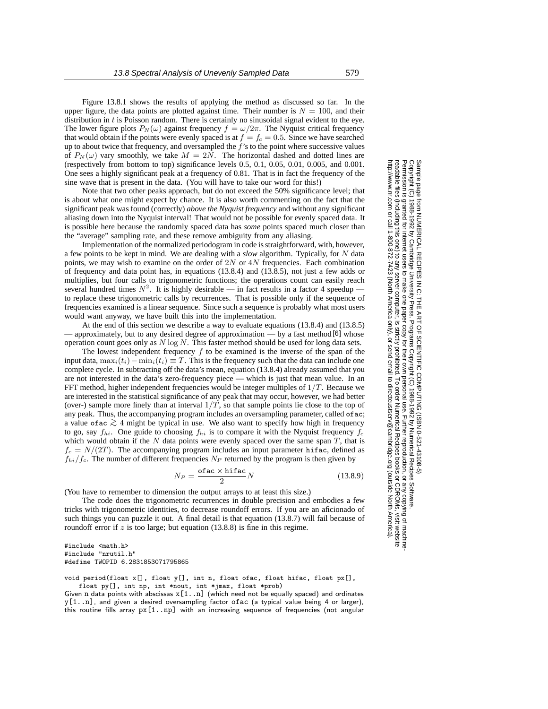Figure 13.8.1 shows the results of applying the method as discussed so far. In the upper figure, the data points are plotted against time. Their number is  $N = 100$ , and their distribution in  $t$  is Poisson random. There is certainly no sinusoidal signal evident to the eye. The lower figure plots  $P_N(\omega)$  against frequency  $f = \omega/2\pi$ . The Nyquist critical frequency that would obtain if the points were evenly spaced is at  $f = f_c = 0.5$ . Since we have searched up to about twice that frequency, and oversampled the  $f$ 's to the point where successive values of  $P_N(\omega)$  vary smoothly, we take  $M = 2N$ . The horizontal dashed and dotted lines are (respectively from bottom to top) significance levels 0.5, 0.1, 0.05, 0.01, 0.005, and 0.001. One sees a highly significant peak at a frequency of 0.81. That is in fact the frequency of the sine wave that is present in the data. (You will have to take our word for this!)

Note that two other peaks approach, but do not exceed the 50% significance level; that is about what one might expect by chance. It is also worth commenting on the fact that the significant peak was found (correctly) *above the Nyquist frequency* and without any significant aliasing down into the Nyquist interval! That would not be possible for evenly spaced data. It is possible here because the randomly spaced data has *some* points spaced much closer than the "average" sampling rate, and these remove ambiguity from any aliasing.

Implementation of the normalized periodogram in code is straightforward, with, however, a few points to be kept in mind. We are dealing with a *slow* algorithm. Typically, for N data points, we may wish to examine on the order of  $2N$  or  $4N$  frequencies. Each combination of frequency and data point has, in equations (13.8.4) and (13.8.5), not just a few adds or multiplies, but four calls to trigonometric functions; the operations count can easily reach several hundred times  $N^2$ . It is highly desirable — in fact results in a factor 4 speedup to replace these trigonometric calls by recurrences. That is possible only if the sequence of frequencies examined is a linear sequence. Since such a sequence is probably what most users would want anyway, we have built this into the implementation.

At the end of this section we describe a way to evaluate equations (13.8.4) and (13.8.5) — approximately, but to any desired degree of approximation — by a fast method [6] whose operation count goes only as  $N \log N$ . This faster method should be used for long data sets.

The lowest independent frequency  $f$  to be examined is the inverse of the span of the input data,  $\max_i(t_i)-\min_i(t_i) \equiv T$ . This is the frequency such that the data can include one complete cycle. In subtracting off the data's mean, equation (13.8.4) already assumed that you are not interested in the data's zero-frequency piece — which is just that mean value. In an FFT method, higher independent frequencies would be integer multiples of  $1/T$ . Because we are interested in the statistical significance of any peak that may occur, however, we had better (over-) sample more finely than at interval  $1/T$ , so that sample points lie close to the top of any peak. Thus, the accompanying program includes an oversampling parameter, called of ac; a value ofac *<sup>&</sup>gt;*<sup>∼</sup> <sup>4</sup> might be typical in use. We also want to specify how high in frequency to go, say  $f_{hi}$ . One guide to choosing  $f_{hi}$  is to compare it with the Nyquist frequency  $f_c$ which would obtain if the  $N$  data points were evenly spaced over the same span  $T$ , that is  $f_c = N/(2T)$ . The accompanying program includes an input parameter hifac, defined as  $f_{hi}/f_c$ . The number of different frequencies  $N_P$  returned by the program is then given by

$$
N_P = \frac{\text{ofac} \times \text{hifac}}{2} N \tag{13.8.9}
$$

2 (You have to remember to dimension the output arrays to at least this size.)

The code does the trigonometric recurrences in double precision and embodies a few tricks with trigonometric identities, to decrease roundoff errors. If you are an aficionado of such things you can puzzle it out. A final detail is that equation (13.8.7) will fail because of roundoff error if  $z$  is too large; but equation (13.8.8) is fine in this regime.

#include <math.h> #include "nrutil.h" #define TWOPID 6.2831853071795865

void period(float x[], float y[], int n, float ofac, float hifac, float px[], float py[], int np, int \*nout, int \*jmax, float \*prob)

Given n data points with abscissas  $x[1..n]$  (which need not be equally spaced) and ordinates  $y[1..n]$ , and given a desired oversampling factor ofac (a typical value being 4 or larger), this routine fills array px[1..np] with an increasing sequence of frequencies (not angular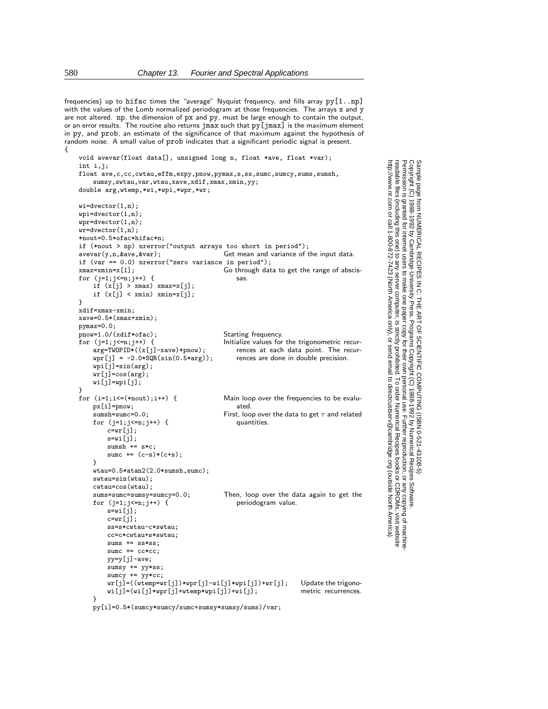frequencies) up to hifac times the "average" Nyquist frequency, and fills array  $py[1..np]$ with the values of the Lomb normalized periodogram at those frequencies. The arrays x and y are not altered. np, the dimension of px and py, must be large enough to contain the output, or an error results. The routine also returns jmax such that py[jmax] is the maximum element in py, and prob, an estimate of the significance of that maximum against the hypothesis of random noise. A small value of prob indicates that a significant periodic signal is present. {

```
void avevar(float data[], unsigned long n, float *ave, float *var);
int i,j;
float ave,c,cc,cwtau,effm,expy,pnow,pymax,s,ss,sumc,sumcy,sums,sumsh,
    sumsy,swtau,var,wtau,xave,xdif,xmax,xmin,yy;
double arg,wtemp,*wi,*wpi,*wpr,*wr;
wi=dvector(1,n);
wpi=dvector(1,n);
wpr=dvector(1,n);
\text{w}r=dvector(1,n);
*nout=0.5*ofac*hifac*n;
if (*nout > np) nrerror("output arrays too short in period");
avevar(y,n,&ave,&var); Get mean and variance of the input data.
if (var == 0.0) nrerror("zero variance in period");<br>xmax=xmin=x[1]; Go through dat
                                         Go through data to get the range of abscis-
for (j=1; j<=n; j++) { sas.
    if (x[j] > xmax) xmax=x[j];
    if (x[j] < xmin) xmin=x[j];}
xdif=xmax-xmin;
xave=0.5*(xmax+xmin);
pymax=0.0;
pnow=1.0/(xdif*ofac); Starting frequency.
                                         Initialize values for the trigonometric recur-
                                            rences at each data point. The recur-
                                             rences are done in double precision.
    arg=TWOPID*((x[j]-xave)*pnow);
    wpr[j] = -2.0 * SQR(sin(0.5 * arg));wpi[j] = sin(arg);wr[j]=cos(arg);
    wi[j]=wpi[j];
}
for (i=1;i<=(*nout);i++) { Main loop over the frequencies to be evalu-
    px[i]=pnow; ated.
    sumsh=sumc=0.0; First, loop over the data to get \tau and related
    for (j=1; j<=n; j++) { quantities.
        c=wr[j];
        s=wi[j];
        sumsh += s*c;sumc += (c-s)*(c+s);}
    wtau=0.5*atan2(2.0*sumsh,sumc);
    swtau=sin(wtau);
    cutau = cos(wtau);<br>sums = sumc = sumc = sumc = 0.0;Then, loop over the data again to get the periodogram value.
    for (j=1; j<=n; j++) {
        s=wi[i];c=wr[j];
        ss=s*cwtau-c*swtau;
        cc=c*cwtau+s*swtau;
        sums += ss*ss;
        sumc += cc*cc;yy=y[j]-ave;
        sumsy += yy*ss;
        sumcy += yy*cc;
        wr[j]=((wtemp=wr[j])*wpr[j]-wi[j]*wpi[j])+wr[j]; Update the trigono-<br>wi[j]=(wi[j]*wpr[j]+wtemp*wpi[j])+wi[j]; metric recurrences.
        wi[j]=(wi[j]*wpr[j]+wtemp*wpi[j])+wi[j];}
```
Permission is granted for internet users to make one paper copy for their own personal use. Further reproduction, or any copyin

computer, is strictly prohibited. To order Numerical Recipes books

or send email to directcustserv@cambridge.org (outside North America).

Sample page from NUMERICAL RECIPES IN C: THE ART OF SCIENTIFIC COMPUTING (ISBN 0-521-43108-5)

Programs Copyright (C) 1988-1992 by Numerical Recipes Software.

g of machine-

or CDROMs, visit website

Copyright (C) 1988-1992 by Cambridge University Press.

readable files (including this one) to any server

http://www.nr.com or call 1-800-872-7423 (North America only),

py[i]=0.5\*(sumcy\*sumcy/sumc+sumsy\*sumsy/sums)/var;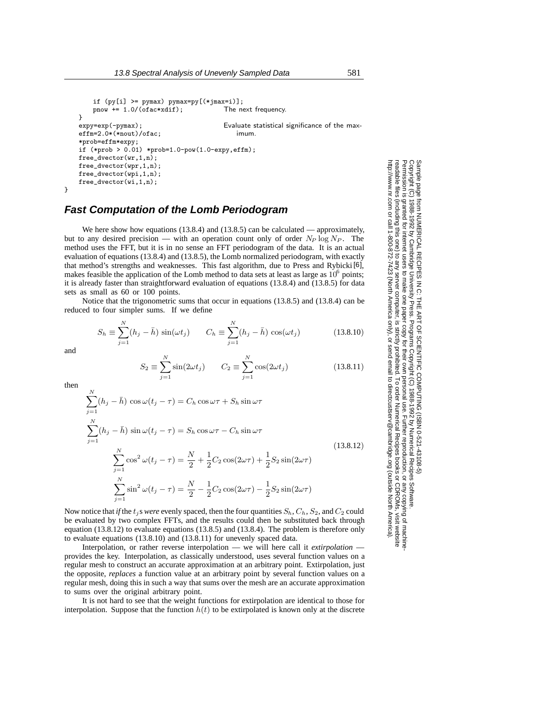```
if (py[i] >= pymax) pymax=py[(*jmax=i)];
   pnow += 1.0/(ofac*xdif); The next frequency.
\}<br>expy=exp(-pymax);
                                     Evaluate statistical significance of the max-
effm=2.0*(*nout)/ofac; imum.
*prob=effm*expy;
if (*prob > 0.01) *prob=1.0-pow(1.0-expy,effm);free_dvector(wr,1,n);
free_dvector(wpr,1,n);
free_dvector(wpi,1,n);
free_dvector(wi,1,n);
```

```
}
```
## **Fast Computation of the Lomb Periodogram**

We here show how equations (13.8.4) and (13.8.5) can be calculated — approximately, but to any desired precision — with an operation count only of order  $N_P \log N_P$ . The method uses the FFT, but it is in no sense an FFT periodogram of the data. It is an actual evaluation of equations (13.8.4) and (13.8.5), the Lomb normalized periodogram, with exactly that method's strengths and weaknesses. This fast algorithm, due to Press and Rybicki [6], makes feasible the application of the Lomb method to data sets at least as large as  $10^6$  points; it is already faster than straightforward evaluation of equations (13.8.4) and (13.8.5) for data sets as small as 60 or 100 points.

Notice that the trigonometric sums that occur in equations (13.8.5) and (13.8.4) can be reduced to four simpler sums. If we define

$$
S_h \equiv \sum_{j=1}^{N} (h_j - \bar{h}) \sin(\omega t_j) \qquad C_h \equiv \sum_{j=1}^{N} (h_j - \bar{h}) \cos(\omega t_j) \tag{13.8.10}
$$

and

$$
S_2 \equiv \sum_{j=1}^{N} \sin(2\omega t_j) \qquad C_2 \equiv \sum_{j=1}^{N} \cos(2\omega t_j)
$$
 (13.8.11)

or send email to directcustserv@cambridge.org (outside North America). then  $\stackrel{N}{\blacklozenge}$  $\sum_{j=1}^{\infty} (h_j - h) \cos \omega (t_j - \tau) = C_h \cos \omega \tau + S_h \sin \omega \tau$  $\stackrel{N}{\blacklozenge}$  $\sum_{j=1} (h_j - h) \sin \omega (t_j - \tau) = S_h \cos \omega \tau - C_h \sin \omega \tau$  $\stackrel{N}{\blacklozenge}$  $\sum_{j=1}^{N} \cos^2 \omega(t_j - \tau) = \frac{N}{2} + \frac{1}{2}$  $\frac{1}{2}C_2\cos(2\omega\tau)+\frac{1}{2}S_2\sin(2\omega\tau)$  $\stackrel{N}{\blacklozenge}$  $\sum_{j=1}^{N} \sin^2 \omega (t_j - \tau) = \frac{N}{2} - \frac{1}{2} C_2 \cos(2\omega \tau) - \frac{1}{2} S_2 \sin(2\omega \tau)$ (13.8.12)

Now notice that *if* the  $t_j$  s *were* evenly spaced, then the four quantities  $S_h$ ,  $C_h$ ,  $S_2$ , and  $C_2$  could be evaluated by two complex FFTs, and the results could then be substituted back through equation  $(13.8.12)$  to evaluate equations  $(13.8.5)$  and  $(13.8.4)$ . The problem is therefore only to evaluate equations (13.8.10) and (13.8.11) for unevenly spaced data.

Interpolation, or rather reverse interpolation — we will here call it *extirpolation* provides the key. Interpolation, as classically understood, uses several function values on a regular mesh to construct an accurate approximation at an arbitrary point. Extirpolation, just the opposite, *replaces* a function value at an arbitrary point by several function values on a regular mesh, doing this in such a way that sums over the mesh are an accurate approximation to sums over the original arbitrary point.

It is not hard to see that the weight functions for extirpolation are identical to those for interpolation. Suppose that the function  $h(t)$  to be extirpolated is known only at the discrete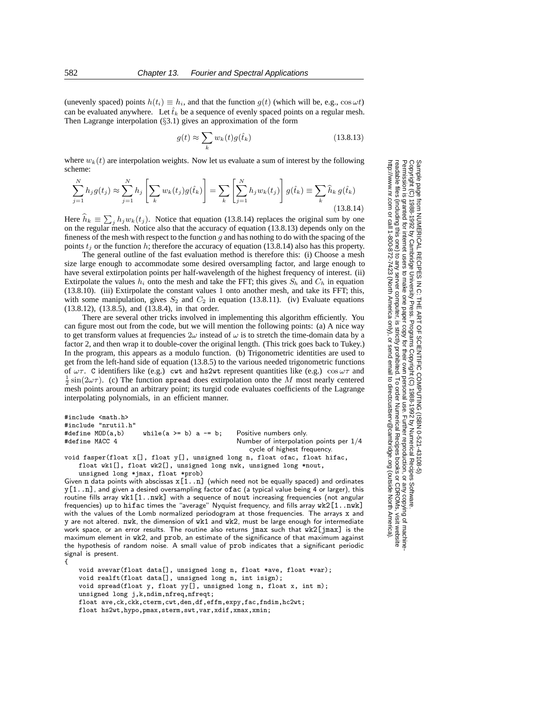(unevenly spaced) points  $h(t_i) \equiv h_i$ , and that the function  $g(t)$  (which will be, e.g.,  $\cos \omega t$ ) can be evaluated anywhere. Let  $\hat{t}_k$  be a sequence of evenly spaced points on a regular mesh.<br>Then I eggange interpolation (83.1) gives an approximation of the form Then Lagrange interpolation  $(\S 3.1)$  gives an approximation of the form

$$
g(t) \approx \sum_{k} w_k(t) g(\hat{t}_k)
$$
 (13.8.13)

where  $w_k(t)$  are interpolation weights. Now let us evaluate a sum of interest by the following scheme:

$$
\sum_{j=1}^{N} h_j g(t_j) \approx \sum_{j=1}^{N} h_j \left[ \sum_k w_k(t_j) g(\hat{t}_k) \right] = \sum_k \left[ \sum_{j=1}^{N} h_j w_k(t_j) \right] g(\hat{t}_k) \equiv \sum_k \hat{h}_k g(\hat{t}_k)
$$
\n(13.8.14)

Here  $\hat{h}_k \equiv \sum_j h_j w_k(t_j)$ . Notice that equation (13.8.14) replaces the original sum by one<br>on the regular mesh. Notice also that the accuracy of equation (13.8.13) denends only on the on the regular mesh. Notice also that the accuracy of equation (13.8.13) depends only on the fineness of the mesh with respect to the function  $g$  and has nothing to do with the spacing of the points  $t_j$  or the function h; therefore the accuracy of equation (13.8.14) also has this property.

The general outline of the fast evaluation method is therefore this: (i) Choose a mesh size large enough to accommodate some desired oversampling factor, and large enough to have several extirpolation points per half-wavelength of the highest frequency of interest. (ii) Extirpolate the values  $h_i$  onto the mesh and take the FFT; this gives  $S_h$  and  $C_h$  in equation (13.8.10). (iii) Extirpolate the constant values 1 onto another mesh, and take its FFT; this, with some manipulation, gives  $S_2$  and  $C_2$  in equation (13.8.11). (iv) Evaluate equations (13.8.12), (13.8.5), and (13.8.4), in that order.

There are several other tricks involved in implementing this algorithm efficiently. You can figure most out from the code, but we will mention the following points: (a) A nice way to get transform values at frequencies  $2\omega$  instead of  $\omega$  is to stretch the time-domain data by a factor 2, and then wrap it to double-cover the original length. (This trick goes back to Tukey.) In the program, this appears as a modulo function. (b) Trigonometric identities are used to get from the left-hand side of equation (13.8.5) to the various needed trigonometric functions of  $\omega\tau$ . C identifiers like (e.g.) cwt and hs2wt represent quantities like (e.g.) cos  $\omega\tau$  and  $\frac{1}{2}$  sin( $2\omega\tau$ ). (c) The function spread does extirpolation onto the M most nearly centered mesh points around an arbitrary point; its turgid code evaluates coefficients of the Lagrange interpolating polynomials, in an efficient manner.

```
#include <math.h>
#include "nrutil.h"
#define MOD(a,b) while(a >= b) a -= b; Positive numbers only.
                                               Number of interpolation points per 1/4cycle of highest frequency.
void fasper(float x[], float y[], unsigned long n, float ofac, float hifac,
   float wk1[], float wk2[], unsigned long nwk, unsigned long *nout,
```
unsigned long \*jmax, float \*prob)

Given n data points with abscissas  $x[1..n]$  (which need not be equally spaced) and ordinates  $y[1..n]$ , and given a desired oversampling factor of ac (a typical value being 4 or larger), this routine fills array wk1[1..nwk] with a sequence of nout increasing frequencies (not angular frequencies) up to hifac times the "average" Nyquist frequency, and fills array wk2[1..nwk] with the values of the Lomb normalized periodogram at those frequencies. The arrays x and y are not altered. nwk, the dimension of wk1 and wk2, must be large enough for intermediate work space, or an error results. The routine also returns jmax such that wk2[jmax] is the maximum element in wk2, and prob, an estimate of the significance of that maximum against the hypothesis of random noise. A small value of prob indicates that a significant periodic signal is present.

{

void avevar(float data[], unsigned long n, float \*ave, float \*var); void realft(float data[], unsigned long n, int isign); void spread(float y, float yy[], unsigned long n, float x, int m); unsigned long j,k,ndim,nfreq,nfreqt; float ave,ck,ckk,cterm,cwt,den,df,effm,expy,fac,fndim,hc2wt; float hs2wt,hypo,pmax,sterm,swt,var,xdif,xmax,xmin;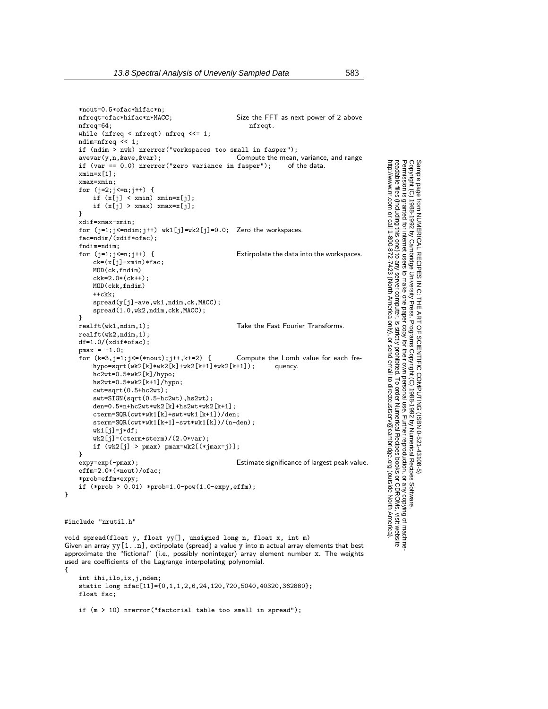```
*nout=0.5*ofac*hifac*n;
                                                   Size the FFT as next power of 2 above<br>nfreqt.
    nfreq=64;
    while (nfreq < nfreqt) nfreq <<= 1;
    ndim=nfreq << 1;
    if (ndim \frac{1}{2} nwk) nrerror("workspaces too small in fasper");<br>avevar(y,n, &ave, &var); Compute the mean,
                                                   Compute the mean, variance, and range fasper"); of the data.
    if (var == 0.0) nrerror("zero variance in fasper");
    xmin=x[1]:
    xmax=xmin;
    for (j=2;j<=n;j++) {
        if (x[j] < xmin) xmin=x[j];if (x[j] > xmax) xmax=x[j];
    }
    xdif=xmax-xmin;
    for (j=1;j<=ndim;j++) wk1[j]=wk2[j]=0.0; Zero the workspaces.
    fac=ndim/(xdif*ofac);
    fndim=ndim;
    for (j=1; j \le n; j++) { Extirpolate the data into the workspaces.
        ck=(x[j]-xmin)*fac;MOD(ck,fndim)
        ckk=2.0*(ck++);
        MOD(ckk,fndim)
        ++ckk\cdotspread(y[j]-ave,wk1,ndim,ck,MACC);
        spread(1.0,wk2,ndim,ckk,MACC);
    }<br>realft(wk1,ndim,1);
                                                   Take the Fast Fourier Transforms.
    realft(wk2,ndim, 1);
    df=1.0/(xdif*ofac);
    pmax = -1.0;
    for (k=3,j=1;j=(-k\cdot nout);j++,k+=2) { Compute the Lomb value for each fre-<br>hypo=sqrt(wk2[k]*wk2[k]+wk2[k+1]*wk2[k+1]); quency.
        hypo=sqrt(wk2[k]*wk2[k]+wk2[k+1]*wk2[k+1]);hc2wt=0.5*wk2[k]/hypo;
        hs2wt=0.5*wk2[k+1]/hypo;
        cwt=sqrt(0.5+hc2wt);
        swt=SIGN(sqrt(0.5-hc2wt),hs2wt);
        den=0.5*n+hc2wt*wk2[k]+hs2wt*wk2[k+1];
        cterm=SQR(cwt*wk1[k]+swt*wk1[k+1])/den;
        sterm=SQR(cwt*wk1[k+1]-swt*wk1[k])/(n-den);
        wk1[j]=j*df;wk2[j]=(cterm+sterm)/(2.0*var);
        if (wk2[j] > pmax) pmax=wk2[(*jmax=j)];
    }<br>expy=exp(-pmax);
                                                   Estimate significance of largest peak value.
    effm=2.0*(*nout)/ofac;
    *prob=effm*expy;
    if (*prob > 0.01) *prob=1.0-pow(1.0-expy,effm);#include "nrutil.h"
void spread(float y, float yy[], unsigned long n, float x, int m)
Given an array yy[1..n], extirpolate (spread) a value y into m actual array elements that best
approximate the "fictional" (i.e., possibly noninteger) array element number x. The weights
used are coefficients of the Lagrange interpolating polynomial.
    int ihi,ilo,ix,j,nden;
```
static long nfac[11]={0,1,1,2,6,24,120,720,5040,40320,362880}; float fac;

}

{

```
if (m > 10) nrerror("factorial table too small in spread");
```
Permission is granted for internet users to make one paper copy for their own personal use. Further reproduction, or any copyin

computer, is strictly prohibited. To order Numerical Recipes books

or send email to directcustserv@cambridge.org (outside North America).

Sample page from NUMERICAL RECIPES IN C: THE ART OF SCIENTIFIC COMPUTING (ISBN 0-521-43108-5)

Programs Copyright (C) 1988-1992 by Numerical Recipes Software.

g of machine-

or CDROMs, visit website

Copyright (C) 1988-1992 by Cambridge University Press.

readable files (including this one) to any server

http://www.nr.com or call 1-800-872-7423 (North America only),